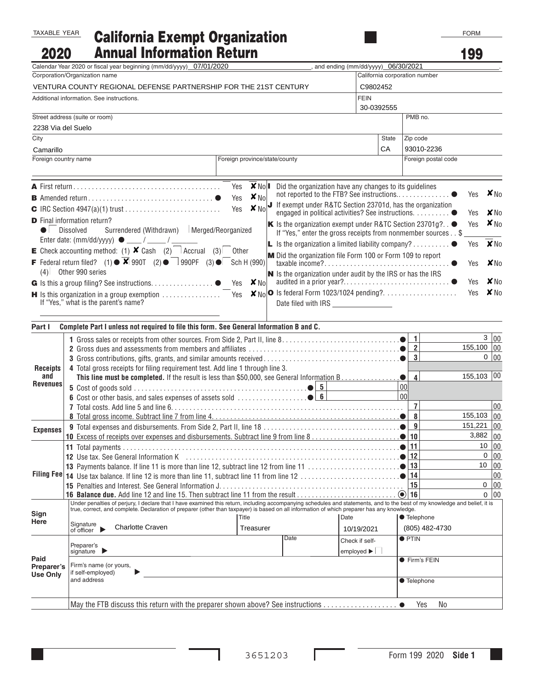## TAXABLE YEAR

## **California Exempt Organization<br>Annual Information Return** 2020

| 2020                                                                         | <b>Annual Information Return</b>                                                                                                                                                           |                               |                                                                                                                                                                                                                                |                                      |                              |                               | 199                                     |                |
|------------------------------------------------------------------------------|--------------------------------------------------------------------------------------------------------------------------------------------------------------------------------------------|-------------------------------|--------------------------------------------------------------------------------------------------------------------------------------------------------------------------------------------------------------------------------|--------------------------------------|------------------------------|-------------------------------|-----------------------------------------|----------------|
|                                                                              | Calendar Year 2020 or fiscal year beginning (mm/dd/yyyy)_07/01/2020                                                                                                                        |                               |                                                                                                                                                                                                                                | , and ending (mm/dd/yyyy) 06/30/2021 |                              |                               |                                         |                |
| Corporation/Organization name                                                |                                                                                                                                                                                            |                               |                                                                                                                                                                                                                                |                                      |                              | California corporation number |                                         |                |
| VENTURA COUNTY REGIONAL DEFENSE PARTNERSHIP FOR THE 21ST CENTURY<br>C9802452 |                                                                                                                                                                                            |                               |                                                                                                                                                                                                                                |                                      |                              |                               |                                         |                |
| FEIN<br>Additional information. See instructions.<br>30-0392555              |                                                                                                                                                                                            |                               |                                                                                                                                                                                                                                |                                      |                              |                               |                                         |                |
| Street address (suite or room)                                               |                                                                                                                                                                                            |                               |                                                                                                                                                                                                                                |                                      |                              | PMB no.                       |                                         |                |
| 2238 Via del Suelo                                                           |                                                                                                                                                                                            |                               |                                                                                                                                                                                                                                |                                      |                              |                               |                                         |                |
| City                                                                         |                                                                                                                                                                                            |                               |                                                                                                                                                                                                                                |                                      | <b>State</b>                 | Zip code                      |                                         |                |
| Camarillo                                                                    |                                                                                                                                                                                            |                               |                                                                                                                                                                                                                                |                                      | СA                           | 93010-2236                    |                                         |                |
| Foreign country name                                                         |                                                                                                                                                                                            | Foreign province/state/county |                                                                                                                                                                                                                                |                                      |                              | Foreign postal code           |                                         |                |
|                                                                              |                                                                                                                                                                                            |                               | Did the organization have any changes to its guidelines                                                                                                                                                                        |                                      |                              |                               |                                         |                |
|                                                                              |                                                                                                                                                                                            |                               | not reported to the FTB? See instructions                                                                                                                                                                                      |                                      |                              |                               | $\bullet$ Lives $\boxtimes_{\text{No}}$ | <b>X</b> No    |
|                                                                              | <b>D</b> Final information return?<br>$\bullet$ Dissolved $\Box$ Surrendered (Withdrawn) $\Box$ Merged/Reorganized                                                                         |                               | engaged in political activities? See instructions. ● Yes<br>K Is the organization exempt under R&TC Section 23701g? $\bullet$ Yes $\boxtimes$ No<br>If "Yes," enter the gross receipts from nonmember sources $\cdot \cdot$ \$ |                                      |                              |                               |                                         |                |
|                                                                              | E Check accounting method: (1) $\times$ Cash (2) $\Box$ Accrual (3) $\Box$ Other                                                                                                           |                               | <b>L</b> Is the organization a limited liability company? $\bullet$ Yes                                                                                                                                                        |                                      |                              |                               |                                         | <b>X</b> No    |
|                                                                              | <b>F</b> Federal return filed? (1) $\bullet$ $\boxtimes$ 990T (2) $\bullet$ $\Box$ 990PF (3) $\bullet$ $\Box$ Sch H (990)<br>$(4)$ Other 990 series                                        |                               | M Did the organization file Form 100 or Form 109 to report                                                                                                                                                                     |                                      |                              |                               | $\bullet$ $\Box$ Yes $\boxtimes$ No     |                |
|                                                                              |                                                                                                                                                                                            |                               | N Is the organization under audit by the IRS or has the IRS                                                                                                                                                                    |                                      |                              |                               |                                         | $\boxtimes$ No |
|                                                                              | <b>H</b> Is this organization in a group exemption $\ldots \ldots \ldots \ldots$ $\Box$ Yes $\Box N_0$ <b>O</b> Is federal Form 1023/1024 pending?. $\ldots \ldots \ldots \ldots \Box$ Yes |                               |                                                                                                                                                                                                                                |                                      |                              |                               |                                         | $\boxtimes$ No |
|                                                                              | If "Yes," what is the parent's name?                                                                                                                                                       |                               | Date filed with IRS _________________                                                                                                                                                                                          |                                      |                              |                               |                                         |                |
|                                                                              |                                                                                                                                                                                            |                               |                                                                                                                                                                                                                                |                                      |                              |                               |                                         |                |
| Part I                                                                       | Complete Part I unless not required to file this form. See General Information B and C.                                                                                                    |                               |                                                                                                                                                                                                                                |                                      |                              |                               |                                         |                |
|                                                                              |                                                                                                                                                                                            |                               |                                                                                                                                                                                                                                |                                      |                              | $\mathbf{1}$                  |                                         | 3 00           |
| <b>Receipts</b>                                                              | $\overline{2}$                                                                                                                                                                             |                               |                                                                                                                                                                                                                                |                                      |                              |                               | $155,100$ 00                            |                |
|                                                                              | $\overline{3}$                                                                                                                                                                             |                               |                                                                                                                                                                                                                                |                                      |                              |                               |                                         | 0 00           |
|                                                                              | 4 Total gross receipts for filing requirement test. Add line 1 through line 3.<br>This line must be completed. If the result is less than \$50,000, see General Information B.             |                               |                                                                                                                                                                                                                                |                                      |                              |                               | $155,103$ 00                            |                |
| and<br><b>Revenues</b>                                                       |                                                                                                                                                                                            |                               |                                                                                                                                                                                                                                |                                      | $\bullet$<br>00 <sup>1</sup> | $\overline{\mathbf{4}}$       |                                         |                |
|                                                                              |                                                                                                                                                                                            |                               |                                                                                                                                                                                                                                |                                      | 00 <sup>1</sup>              |                               |                                         |                |
|                                                                              |                                                                                                                                                                                            |                               |                                                                                                                                                                                                                                |                                      |                              | $\overline{7}$                |                                         | 00             |
|                                                                              |                                                                                                                                                                                            |                               |                                                                                                                                                                                                                                |                                      |                              | 8                             | $155,103$ 00                            |                |
|                                                                              |                                                                                                                                                                                            |                               |                                                                                                                                                                                                                                |                                      |                              | 9                             | $151,221$ 00                            |                |
| <b>Expenses</b>                                                              |                                                                                                                                                                                            |                               |                                                                                                                                                                                                                                |                                      | ●                            | 10                            | $3,882$ 00                              |                |
|                                                                              |                                                                                                                                                                                            |                               |                                                                                                                                                                                                                                |                                      |                              | 11                            | 10                                      | 00             |
|                                                                              |                                                                                                                                                                                            |                               |                                                                                                                                                                                                                                |                                      |                              | 12                            |                                         | 0 00           |
|                                                                              | 13 Payments balance. If line 11 is more than line 12, subtract line 12 from line 11                                                                                                        |                               |                                                                                                                                                                                                                                |                                      |                              | 13                            |                                         | 10 00          |
|                                                                              |                                                                                                                                                                                            |                               |                                                                                                                                                                                                                                |                                      |                              | 14                            |                                         | 00             |
|                                                                              | 15 Penalties and Interest. See General Information J.                                                                                                                                      |                               |                                                                                                                                                                                                                                |                                      |                              | 15                            |                                         | 0 00           |
|                                                                              | Under penalties of perjury, I declare that I have examined this return, including accompanying schedules and statements, and to the best of my knowledge and belief, it is                 |                               |                                                                                                                                                                                                                                |                                      |                              |                               |                                         | 00<br>0        |
| Sign                                                                         | true, correct, and complete. Declaration of preparer (other than taxpayer) is based on all information of which preparer has any knowledge.                                                |                               |                                                                                                                                                                                                                                |                                      |                              |                               |                                         |                |
| Here                                                                         |                                                                                                                                                                                            | Title                         |                                                                                                                                                                                                                                | Date                                 |                              | <b>• Telephone</b>            |                                         |                |
|                                                                              | Signature<br>of officer<br><b>Charlotte Craven</b>                                                                                                                                         | Treasurer                     |                                                                                                                                                                                                                                | 10/19/2021                           |                              | (805) 482-4730                |                                         |                |
|                                                                              |                                                                                                                                                                                            |                               | Date                                                                                                                                                                                                                           | Check if self-                       |                              | $\bullet$ PTIN                |                                         |                |
|                                                                              | Preparer's<br>signature $\blacktriangleright$                                                                                                                                              |                               |                                                                                                                                                                                                                                | employed $\blacktriangleright \Box$  |                              |                               |                                         |                |
| Paid                                                                         | Firm's name (or yours,                                                                                                                                                                     |                               |                                                                                                                                                                                                                                |                                      |                              | ● Firm's FEIN                 |                                         |                |
| Preparer's<br><b>Use Only</b>                                                | if self-employed)                                                                                                                                                                          |                               |                                                                                                                                                                                                                                |                                      |                              |                               |                                         |                |
|                                                                              | and address                                                                                                                                                                                |                               |                                                                                                                                                                                                                                |                                      |                              | <b>Telephone</b>              |                                         |                |
|                                                                              |                                                                                                                                                                                            |                               |                                                                                                                                                                                                                                |                                      |                              |                               |                                         |                |
|                                                                              |                                                                                                                                                                                            |                               |                                                                                                                                                                                                                                |                                      |                              |                               |                                         |                |

L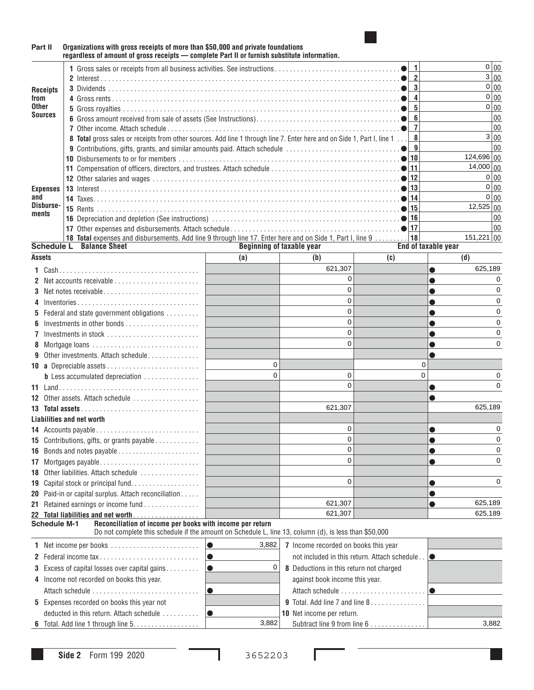

## **Part II Organizations with gross receipts of more than \$50,000 and private foundations regardless of amount of gross receipts — complete Part II or furnish substitute information. Receipts from Other Sources Expenses and Disbursements <sup>1</sup>** Gross sales or receipts from all business activities. See instructions ..................................● **<sup>1</sup>** <sup>00</sup> **<sup>2</sup>** Interest .................................................................................● **<sup>2</sup>** <sup>00</sup> **<sup>3</sup>** Dividends ...............................................................................● **<sup>3</sup>** <sup>00</sup> **<sup>4</sup>** Gross rents ..............................................................................● **<sup>4</sup>** <sup>00</sup> **<sup>5</sup>** Gross royalties ...........................................................................● **<sup>5</sup>** <sup>00</sup> **<sup>6</sup>** Gross amount received from sale of assets (See Instructions).......................................● **<sup>6</sup>** <sup>00</sup> **<sup>7</sup>** Other income. Attach schedule ...............................................................● **<sup>7</sup>** <sup>00</sup> **8 Total** gross sales or receipts from other sources. Add line 1 through line 7. Enter here and on Side 1, Part I, line 1 ... **8** 00 **<sup>9</sup>** Contributions, gifts, grants, and similar amounts paid. Attach schedule ...............................● **<sup>9</sup>** <sup>00</sup> **<sup>10</sup>** Disbursements to or for members ............................................................● **<sup>10</sup>** <sup>00</sup> **<sup>11</sup>** Compensation of officers, directors, and trustees. Attach schedule ...................................● **<sup>11</sup>** <sup>00</sup> **<sup>12</sup>** Other salaries and wages ...................................................................● **<sup>12</sup>** <sup>00</sup> **<sup>13</sup>** Interest .................................................................................● **<sup>13</sup>** <sup>00</sup> **<sup>14</sup>** Taxes...................................................................................● **<sup>14</sup>** <sup>00</sup> **<sup>15</sup>** Rents ..................................................................................● **<sup>15</sup>** <sup>00</sup> **<sup>16</sup>** Depreciation and depletion (See instructions) ...................................................● **<sup>16</sup>** <sup>00</sup> **<sup>17</sup>** Other expenses and disbursements. Attach schedule ..............................................● **<sup>17</sup>** <sup>00</sup> **18 Total** expenses and disbursements. Add line 9 through line 17. Enter here and on Side 1, Part I, line 9 ......... **18** 00 **Balance Sheet Beginning of taxable year Assets End of taxable year (a) (b) (c) (d) <sup>1</sup>**Cash...................................... ● **<sup>2</sup>**Net accounts receivable ....................... ● **<sup>3</sup>**Net notes receivable .......................... ● **<sup>4</sup>**Inventories ................................. ● **<sup>5</sup>**Federal and state government obligations ......... ● **<sup>6</sup>**Investments in other bonds .................... ● **<sup>7</sup>**Investments in stock ......................... ● **<sup>8</sup>**Mortgage loans ............................. ● **9** Other investments. Attach schedule . . . . . . . . . . **10 a** Depreciable assets ......................... **b** Less accumulated depreciation ........... **<sup>11</sup>**Land...................................... ● **<sup>12</sup>**Other assets. Attach schedule .................. ● **13 Total assets** ................................ **<sup>14</sup>**Accounts payable ............................ ● **<sup>15</sup>**Contributions, gifts, or grants payable ............ ● **<sup>16</sup>**Bonds and notes payable ....................... ● **<sup>17</sup>**Mortgages payable........................... ● 18 Other liabilities. Attach schedule ................. **<sup>19</sup>**Capital stock or principal fund................... ● **20** Paid-in or capital surplus. Attach reconciliation ..... **● Paid-in-Action Action** and Action and Action and Action and Action and Action and Action and Action and Action and Action and Action and Action and Action and **<sup>21</sup>**Retained earnings or income fund ............... ● **22 Total liabilities and net worth <sup>1</sup>**Net income per books ........................ ● **<sup>7</sup>**Income recorded on books this year **<sup>2</sup>**Federal income tax ........................... ● not included in this return. Attach schedule . . ● **3** Excess of capital losses over capital gains . . . . . . . . ● **8** Deductions in this return not charged **4** Income not recorded on books this year. Attach schedule ............................. ● Attach schedule ....................... ● **5** Expenses recorded on books this year not **9** Total. Add line 7 and line 8 ............... **Liabilities and net worth Schedule M-1 Reconciliation of income per books with income per return** Do not complete this schedule if the amount on Schedule L, line 13, column (d), is less than \$50,000  $0|_{00}$  $3|00$  $\overline{0}$  00  $0|_{00}$  $0|_{00}$  $3|00$  $124,696|00$  $14,000|00$  $\overline{0}$  00  $0|00$ 12,525 151,221 621,307 625,189 0 0 0 0 0 0 0 0 0 0 0 0 0 0 0 0 0 0 0 0 0 0 621,307 625,189 0 0 0 0 0 0 0 0 0 0 621,307 625,189 621,307 625,189 3,8820

**6** Total. Add line 1 through line 5..................

3,882 3,882

deducted in this return. Attach schedule .......... ● **<sup>10</sup>**Net income per return.